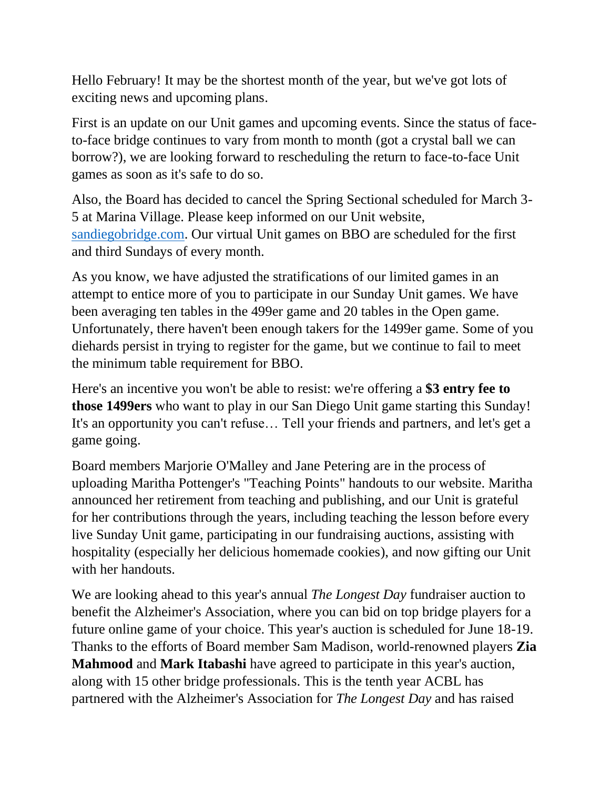Hello February! It may be the shortest month of the year, but we've got lots of exciting news and upcoming plans.

First is an update on our Unit games and upcoming events. Since the status of faceto-face bridge continues to vary from month to month (got a crystal ball we can borrow?), we are looking forward to rescheduling the return to face-to-face Unit games as soon as it's safe to do so.

Also, the Board has decided to cancel the Spring Sectional scheduled for March 3- 5 at Marina Village. Please keep informed on our Unit website, [sandiegobridge.com.](sandiegobridge.com) Our virtual Unit games on BBO are scheduled for the first and third Sundays of every month.

As you know, we have adjusted the stratifications of our limited games in an attempt to entice more of you to participate in our Sunday Unit games. We have been averaging ten tables in the 499er game and 20 tables in the Open game. Unfortunately, there haven't been enough takers for the 1499er game. Some of you diehards persist in trying to register for the game, but we continue to fail to meet the minimum table requirement for BBO.

Here's an incentive you won't be able to resist: we're offering a **\$3 entry fee to those 1499ers** who want to play in our San Diego Unit game starting this Sunday! It's an opportunity you can't refuse… Tell your friends and partners, and let's get a game going.

Board members Marjorie O'Malley and Jane Petering are in the process of uploading Maritha Pottenger's "Teaching Points" handouts to our website. Maritha announced her retirement from teaching and publishing, and our Unit is grateful for her contributions through the years, including teaching the lesson before every live Sunday Unit game, participating in our fundraising auctions, assisting with hospitality (especially her delicious homemade cookies), and now gifting our Unit with her handouts.

We are looking ahead to this year's annual *The Longest Day* fundraiser auction to benefit the Alzheimer's Association, where you can bid on top bridge players for a future online game of your choice. This year's auction is scheduled for June 18-19. Thanks to the efforts of Board member Sam Madison, world-renowned players **Zia Mahmood** and **Mark Itabashi** have agreed to participate in this year's auction, along with 15 other bridge professionals. This is the tenth year ACBL has partnered with the Alzheimer's Association for *The Longest Day* and has raised